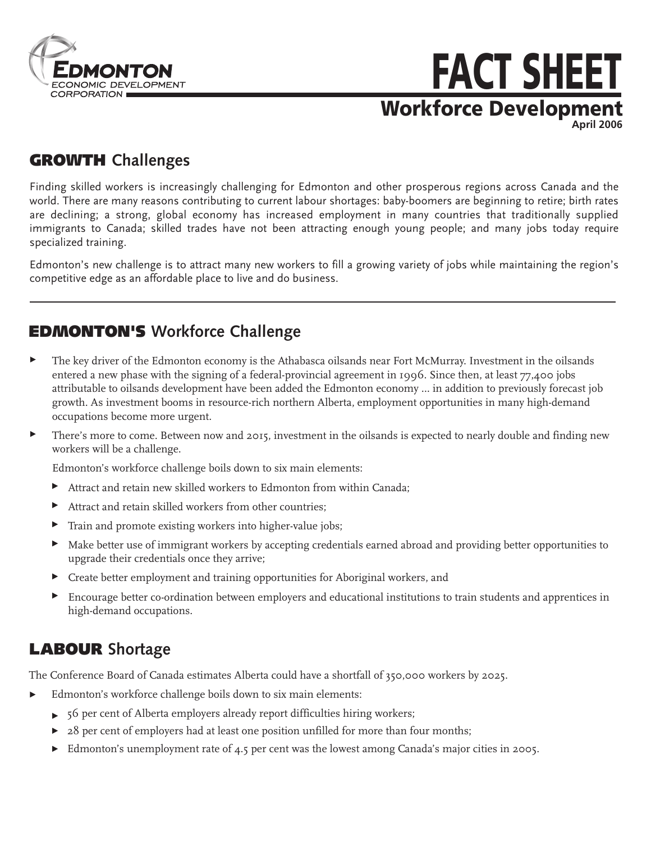

# Workforce Development FACT SHEET **April 2006**

### GROWTH **Challenges**

Finding skilled workers is increasingly challenging for Edmonton and other prosperous regions across Canada and the world. There are many reasons contributing to current labour shortages: baby-boomers are beginning to retire; birth rates are declining; a strong, global economy has increased employment in many countries that traditionally supplied immigrants to Canada; skilled trades have not been attracting enough young people; and many jobs today require specialized training.

Edmonton's new challenge is to attract many new workers to fill a growing variety of jobs while maintaining the region's competitive edge as an affordable place to live and do business.

## EDMONTON'S **Workforce Challenge**

- $\blacktriangleright$ The key driver of the Edmonton economy is the Athabasca oilsands near Fort McMurray. Investment in the oilsands entered a new phase with the signing of a federal-provincial agreement in 1996. Since then, at least 77,400 jobs attributable to oilsands development have been added the Edmonton economy … in addition to previously forecast job growth. As investment booms in resource-rich northern Alberta, employment opportunities in many high-demand occupations become more urgent.
- **There's more to come. Between now and 2015, investment in the oilsands is expected to nearly double and finding new** workers will be a challenge.

Edmonton's workforce challenge boils down to six main elements:

- Attract and retain new skilled workers to Edmonton from within Canada;
- Attract and retain skilled workers from other countries;
- Train and promote existing workers into higher-value jobs;
- Make better use of immigrant workers by accepting credentials earned abroad and providing better opportunities to upgrade their credentials once they arrive;
- Create better employment and training opportunities for Aboriginal workers, and
- Encourage better co-ordination between employers and educational institutions to train students and apprentices in high-demand occupations.

## LABOUR **Shortage**

The Conference Board of Canada estimates Alberta could have a shortfall of 350,000 workers by 2025.

- Edmonton's workforce challenge boils down to six main elements:
	- 56 per cent of Alberta employers already report difficulties hiring workers;
	- 28 per cent of employers had at least one position unfilled for more than four months;
	- Edmonton's unemployment rate of 4.5 per cent was the lowest among Canada's major cities in 2005.